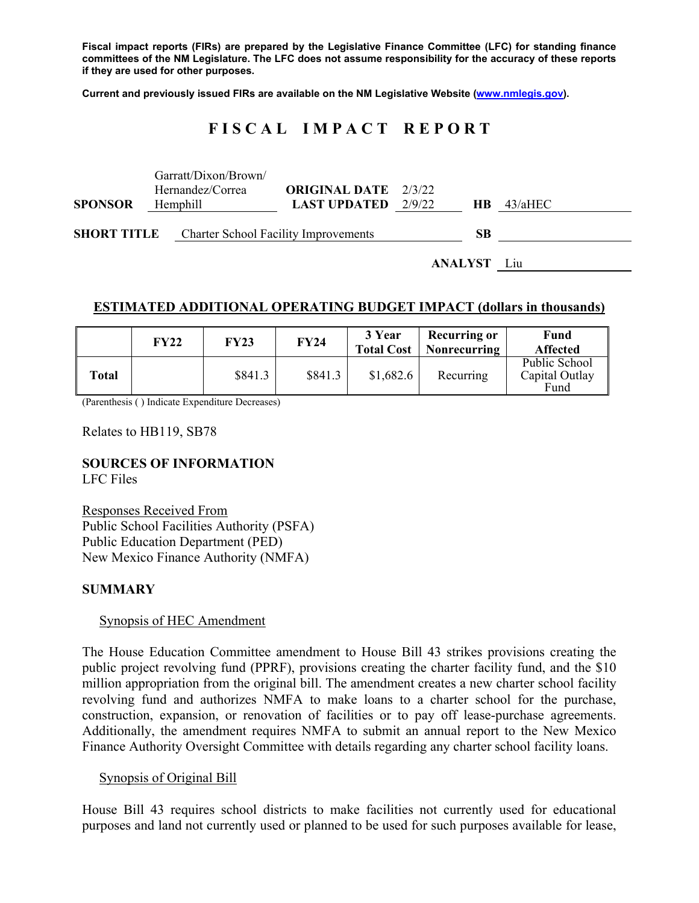**Fiscal impact reports (FIRs) are prepared by the Legislative Finance Committee (LFC) for standing finance committees of the NM Legislature. The LFC does not assume responsibility for the accuracy of these reports if they are used for other purposes.** 

**Current and previously issued FIRs are available on the NM Legislative Website (www.nmlegis.gov).** 

# **F I S C A L I M P A C T R E P O R T**

|                    |                    | Garratt/Dixon/Brown/                        |                              |  |     |         |
|--------------------|--------------------|---------------------------------------------|------------------------------|--|-----|---------|
|                    |                    | Hernandez/Correa                            | <b>ORIGINAL DATE</b> 2/3/22  |  |     |         |
| <b>SPONSOR</b>     |                    | Hemphill                                    | <b>LAST UPDATED</b> $2/9/22$ |  | HB. | 43/aHEC |
|                    |                    |                                             |                              |  |     |         |
| <b>SHORT TITLE</b> |                    | <b>Charter School Facility Improvements</b> |                              |  |     |         |
|                    |                    |                                             |                              |  |     |         |
|                    | <b>ANALYST</b> Liu |                                             |                              |  |     |         |

### **ESTIMATED ADDITIONAL OPERATING BUDGET IMPACT (dollars in thousands)**

|       | <b>FY22</b> | <b>FY23</b> | <b>FY24</b> | 3 Year<br><b>Total Cost</b> | <b>Recurring or</b><br><b>Nonrecurring</b> | Fund<br><b>Affected</b>                 |
|-------|-------------|-------------|-------------|-----------------------------|--------------------------------------------|-----------------------------------------|
| Total |             | \$841.3     | \$841.3     | \$1,682.6                   | Recurring                                  | Public School<br>Capital Outlay<br>Fund |

(Parenthesis ( ) Indicate Expenditure Decreases)

Relates to HB119, SB78

# **SOURCES OF INFORMATION**

LFC Files

Responses Received From Public School Facilities Authority (PSFA) Public Education Department (PED) New Mexico Finance Authority (NMFA)

#### **SUMMARY**

#### Synopsis of HEC Amendment

The House Education Committee amendment to House Bill 43 strikes provisions creating the public project revolving fund (PPRF), provisions creating the charter facility fund, and the \$10 million appropriation from the original bill. The amendment creates a new charter school facility revolving fund and authorizes NMFA to make loans to a charter school for the purchase, construction, expansion, or renovation of facilities or to pay off lease-purchase agreements. Additionally, the amendment requires NMFA to submit an annual report to the New Mexico Finance Authority Oversight Committee with details regarding any charter school facility loans.

#### Synopsis of Original Bill

House Bill 43 requires school districts to make facilities not currently used for educational purposes and land not currently used or planned to be used for such purposes available for lease,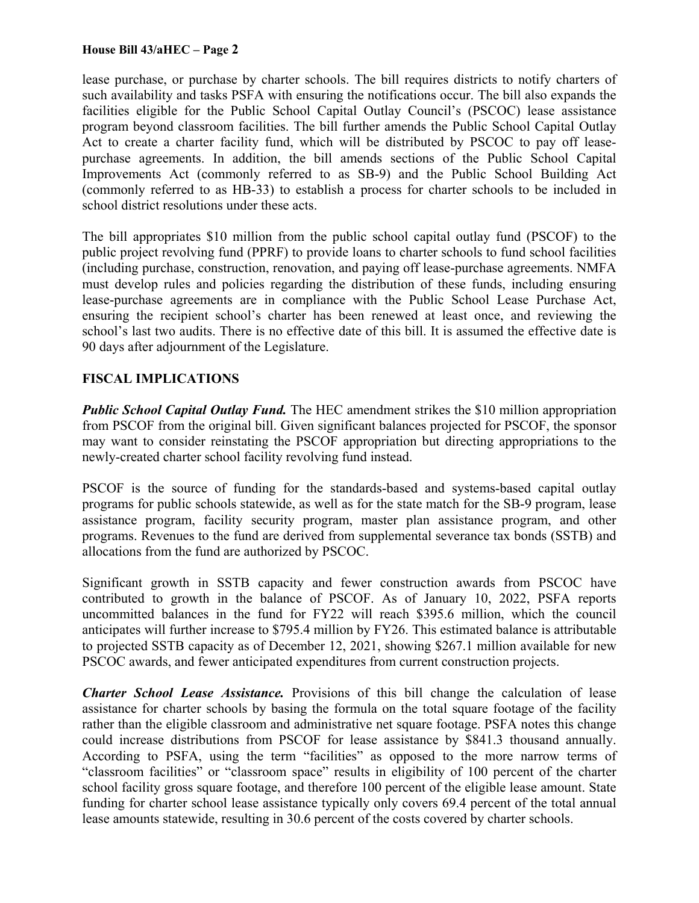lease purchase, or purchase by charter schools. The bill requires districts to notify charters of such availability and tasks PSFA with ensuring the notifications occur. The bill also expands the facilities eligible for the Public School Capital Outlay Council's (PSCOC) lease assistance program beyond classroom facilities. The bill further amends the Public School Capital Outlay Act to create a charter facility fund, which will be distributed by PSCOC to pay off leasepurchase agreements. In addition, the bill amends sections of the Public School Capital Improvements Act (commonly referred to as SB-9) and the Public School Building Act (commonly referred to as HB-33) to establish a process for charter schools to be included in school district resolutions under these acts.

The bill appropriates \$10 million from the public school capital outlay fund (PSCOF) to the public project revolving fund (PPRF) to provide loans to charter schools to fund school facilities (including purchase, construction, renovation, and paying off lease-purchase agreements. NMFA must develop rules and policies regarding the distribution of these funds, including ensuring lease-purchase agreements are in compliance with the Public School Lease Purchase Act, ensuring the recipient school's charter has been renewed at least once, and reviewing the school's last two audits. There is no effective date of this bill. It is assumed the effective date is 90 days after adjournment of the Legislature.

# **FISCAL IMPLICATIONS**

*Public School Capital Outlay Fund.* The HEC amendment strikes the \$10 million appropriation from PSCOF from the original bill. Given significant balances projected for PSCOF, the sponsor may want to consider reinstating the PSCOF appropriation but directing appropriations to the newly-created charter school facility revolving fund instead.

PSCOF is the source of funding for the standards-based and systems-based capital outlay programs for public schools statewide, as well as for the state match for the SB-9 program, lease assistance program, facility security program, master plan assistance program, and other programs. Revenues to the fund are derived from supplemental severance tax bonds (SSTB) and allocations from the fund are authorized by PSCOC.

Significant growth in SSTB capacity and fewer construction awards from PSCOC have contributed to growth in the balance of PSCOF. As of January 10, 2022, PSFA reports uncommitted balances in the fund for FY22 will reach \$395.6 million, which the council anticipates will further increase to \$795.4 million by FY26. This estimated balance is attributable to projected SSTB capacity as of December 12, 2021, showing \$267.1 million available for new PSCOC awards, and fewer anticipated expenditures from current construction projects.

*Charter School Lease Assistance.* Provisions of this bill change the calculation of lease assistance for charter schools by basing the formula on the total square footage of the facility rather than the eligible classroom and administrative net square footage. PSFA notes this change could increase distributions from PSCOF for lease assistance by \$841.3 thousand annually. According to PSFA, using the term "facilities" as opposed to the more narrow terms of "classroom facilities" or "classroom space" results in eligibility of 100 percent of the charter school facility gross square footage, and therefore 100 percent of the eligible lease amount. State funding for charter school lease assistance typically only covers 69.4 percent of the total annual lease amounts statewide, resulting in 30.6 percent of the costs covered by charter schools.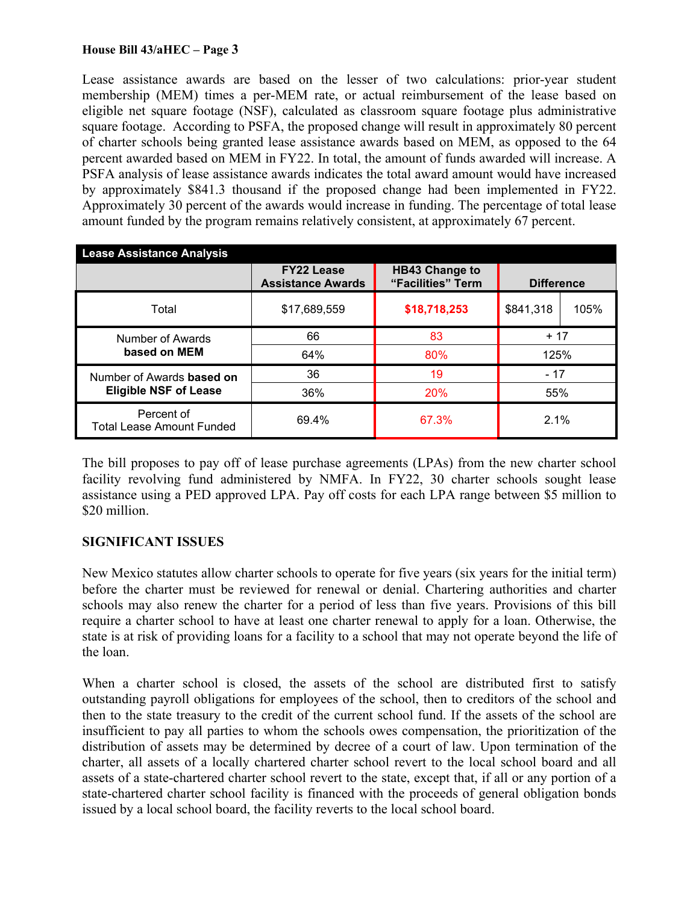Lease assistance awards are based on the lesser of two calculations: prior-year student membership (MEM) times a per-MEM rate, or actual reimbursement of the lease based on eligible net square footage (NSF), calculated as classroom square footage plus administrative square footage. According to PSFA, the proposed change will result in approximately 80 percent of charter schools being granted lease assistance awards based on MEM, as opposed to the 64 percent awarded based on MEM in FY22. In total, the amount of funds awarded will increase. A PSFA analysis of lease assistance awards indicates the total award amount would have increased by approximately \$841.3 thousand if the proposed change had been implemented in FY22. Approximately 30 percent of the awards would increase in funding. The percentage of total lease amount funded by the program remains relatively consistent, at approximately 67 percent.

| <b>Lease Assistance Analysis</b>               |                                               |                                            |           |                   |  |  |  |  |
|------------------------------------------------|-----------------------------------------------|--------------------------------------------|-----------|-------------------|--|--|--|--|
|                                                | <b>FY22 Lease</b><br><b>Assistance Awards</b> | <b>HB43 Change to</b><br>"Facilities" Term |           | <b>Difference</b> |  |  |  |  |
| Total                                          | \$17,689,559                                  | \$18,718,253                               | \$841,318 | 105%              |  |  |  |  |
| Number of Awards                               | 66                                            | 83                                         | $+17$     |                   |  |  |  |  |
| based on MEM                                   | 64%                                           | 80%                                        | 125%      |                   |  |  |  |  |
| Number of Awards <b>based on</b>               | 36                                            | 19                                         | $-17$     |                   |  |  |  |  |
| <b>Eligible NSF of Lease</b>                   | 36%                                           | 20%                                        | 55%       |                   |  |  |  |  |
| Percent of<br><b>Total Lease Amount Funded</b> | 69.4%                                         | 67.3%                                      | 2.1%      |                   |  |  |  |  |

The bill proposes to pay off of lease purchase agreements (LPAs) from the new charter school facility revolving fund administered by NMFA. In FY22, 30 charter schools sought lease assistance using a PED approved LPA. Pay off costs for each LPA range between \$5 million to \$20 million.

# **SIGNIFICANT ISSUES**

New Mexico statutes allow charter schools to operate for five years (six years for the initial term) before the charter must be reviewed for renewal or denial. Chartering authorities and charter schools may also renew the charter for a period of less than five years. Provisions of this bill require a charter school to have at least one charter renewal to apply for a loan. Otherwise, the state is at risk of providing loans for a facility to a school that may not operate beyond the life of the loan.

When a charter school is closed, the assets of the school are distributed first to satisfy outstanding payroll obligations for employees of the school, then to creditors of the school and then to the state treasury to the credit of the current school fund. If the assets of the school are insufficient to pay all parties to whom the schools owes compensation, the prioritization of the distribution of assets may be determined by decree of a court of law. Upon termination of the charter, all assets of a locally chartered charter school revert to the local school board and all assets of a state-chartered charter school revert to the state, except that, if all or any portion of a state-chartered charter school facility is financed with the proceeds of general obligation bonds issued by a local school board, the facility reverts to the local school board.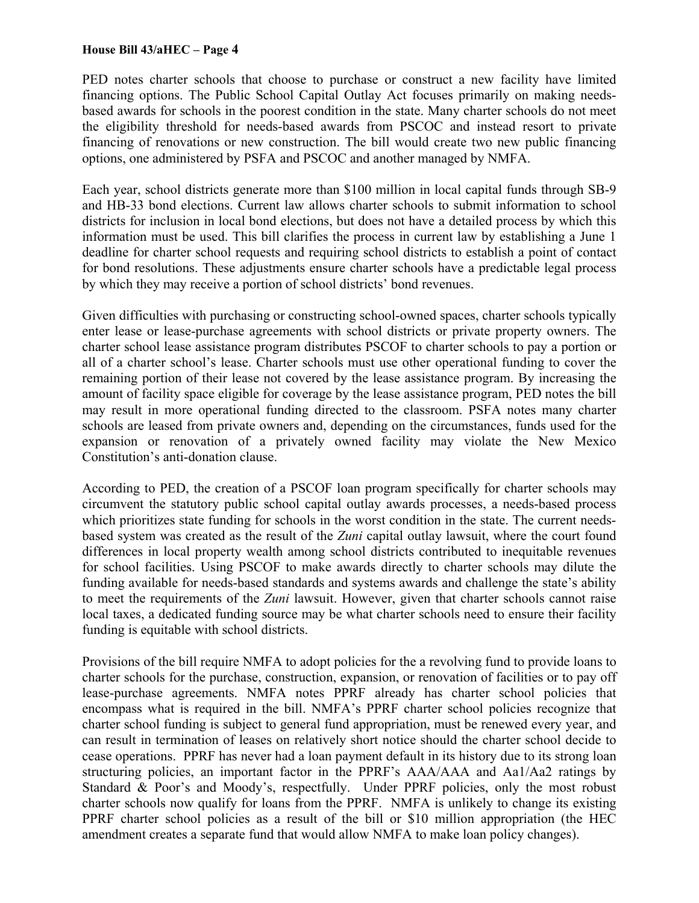PED notes charter schools that choose to purchase or construct a new facility have limited financing options. The Public School Capital Outlay Act focuses primarily on making needsbased awards for schools in the poorest condition in the state. Many charter schools do not meet the eligibility threshold for needs-based awards from PSCOC and instead resort to private financing of renovations or new construction. The bill would create two new public financing options, one administered by PSFA and PSCOC and another managed by NMFA.

Each year, school districts generate more than \$100 million in local capital funds through SB-9 and HB-33 bond elections. Current law allows charter schools to submit information to school districts for inclusion in local bond elections, but does not have a detailed process by which this information must be used. This bill clarifies the process in current law by establishing a June 1 deadline for charter school requests and requiring school districts to establish a point of contact for bond resolutions. These adjustments ensure charter schools have a predictable legal process by which they may receive a portion of school districts' bond revenues.

Given difficulties with purchasing or constructing school-owned spaces, charter schools typically enter lease or lease-purchase agreements with school districts or private property owners. The charter school lease assistance program distributes PSCOF to charter schools to pay a portion or all of a charter school's lease. Charter schools must use other operational funding to cover the remaining portion of their lease not covered by the lease assistance program. By increasing the amount of facility space eligible for coverage by the lease assistance program, PED notes the bill may result in more operational funding directed to the classroom. PSFA notes many charter schools are leased from private owners and, depending on the circumstances, funds used for the expansion or renovation of a privately owned facility may violate the New Mexico Constitution's anti-donation clause.

According to PED, the creation of a PSCOF loan program specifically for charter schools may circumvent the statutory public school capital outlay awards processes, a needs-based process which prioritizes state funding for schools in the worst condition in the state. The current needsbased system was created as the result of the *Zuni* capital outlay lawsuit, where the court found differences in local property wealth among school districts contributed to inequitable revenues for school facilities. Using PSCOF to make awards directly to charter schools may dilute the funding available for needs-based standards and systems awards and challenge the state's ability to meet the requirements of the *Zuni* lawsuit. However, given that charter schools cannot raise local taxes, a dedicated funding source may be what charter schools need to ensure their facility funding is equitable with school districts.

Provisions of the bill require NMFA to adopt policies for the a revolving fund to provide loans to charter schools for the purchase, construction, expansion, or renovation of facilities or to pay off lease-purchase agreements. NMFA notes PPRF already has charter school policies that encompass what is required in the bill. NMFA's PPRF charter school policies recognize that charter school funding is subject to general fund appropriation, must be renewed every year, and can result in termination of leases on relatively short notice should the charter school decide to cease operations. PPRF has never had a loan payment default in its history due to its strong loan structuring policies, an important factor in the PPRF's AAA/AAA and Aa1/Aa2 ratings by Standard & Poor's and Moody's, respectfully. Under PPRF policies, only the most robust charter schools now qualify for loans from the PPRF. NMFA is unlikely to change its existing PPRF charter school policies as a result of the bill or \$10 million appropriation (the HEC amendment creates a separate fund that would allow NMFA to make loan policy changes).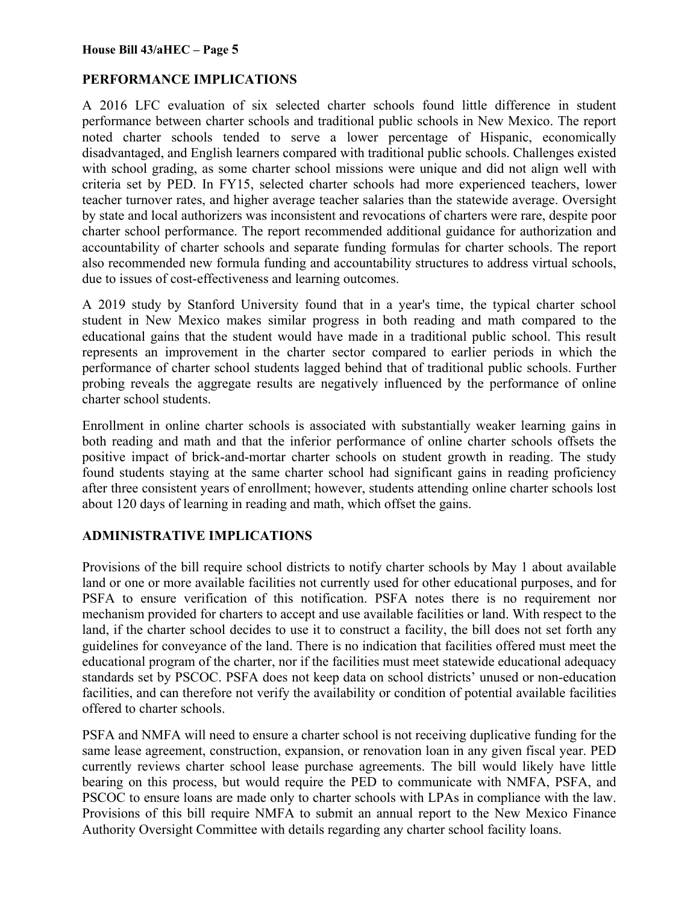# **PERFORMANCE IMPLICATIONS**

A 2016 LFC evaluation of six selected charter schools found little difference in student performance between charter schools and traditional public schools in New Mexico. The report noted charter schools tended to serve a lower percentage of Hispanic, economically disadvantaged, and English learners compared with traditional public schools. Challenges existed with school grading, as some charter school missions were unique and did not align well with criteria set by PED. In FY15, selected charter schools had more experienced teachers, lower teacher turnover rates, and higher average teacher salaries than the statewide average. Oversight by state and local authorizers was inconsistent and revocations of charters were rare, despite poor charter school performance. The report recommended additional guidance for authorization and accountability of charter schools and separate funding formulas for charter schools. The report also recommended new formula funding and accountability structures to address virtual schools, due to issues of cost-effectiveness and learning outcomes.

A 2019 study by Stanford University found that in a year's time, the typical charter school student in New Mexico makes similar progress in both reading and math compared to the educational gains that the student would have made in a traditional public school. This result represents an improvement in the charter sector compared to earlier periods in which the performance of charter school students lagged behind that of traditional public schools. Further probing reveals the aggregate results are negatively influenced by the performance of online charter school students.

Enrollment in online charter schools is associated with substantially weaker learning gains in both reading and math and that the inferior performance of online charter schools offsets the positive impact of brick-and-mortar charter schools on student growth in reading. The study found students staying at the same charter school had significant gains in reading proficiency after three consistent years of enrollment; however, students attending online charter schools lost about 120 days of learning in reading and math, which offset the gains.

# **ADMINISTRATIVE IMPLICATIONS**

Provisions of the bill require school districts to notify charter schools by May 1 about available land or one or more available facilities not currently used for other educational purposes, and for PSFA to ensure verification of this notification. PSFA notes there is no requirement nor mechanism provided for charters to accept and use available facilities or land. With respect to the land, if the charter school decides to use it to construct a facility, the bill does not set forth any guidelines for conveyance of the land. There is no indication that facilities offered must meet the educational program of the charter, nor if the facilities must meet statewide educational adequacy standards set by PSCOC. PSFA does not keep data on school districts' unused or non-education facilities, and can therefore not verify the availability or condition of potential available facilities offered to charter schools.

PSFA and NMFA will need to ensure a charter school is not receiving duplicative funding for the same lease agreement, construction, expansion, or renovation loan in any given fiscal year. PED currently reviews charter school lease purchase agreements. The bill would likely have little bearing on this process, but would require the PED to communicate with NMFA, PSFA, and PSCOC to ensure loans are made only to charter schools with LPAs in compliance with the law. Provisions of this bill require NMFA to submit an annual report to the New Mexico Finance Authority Oversight Committee with details regarding any charter school facility loans.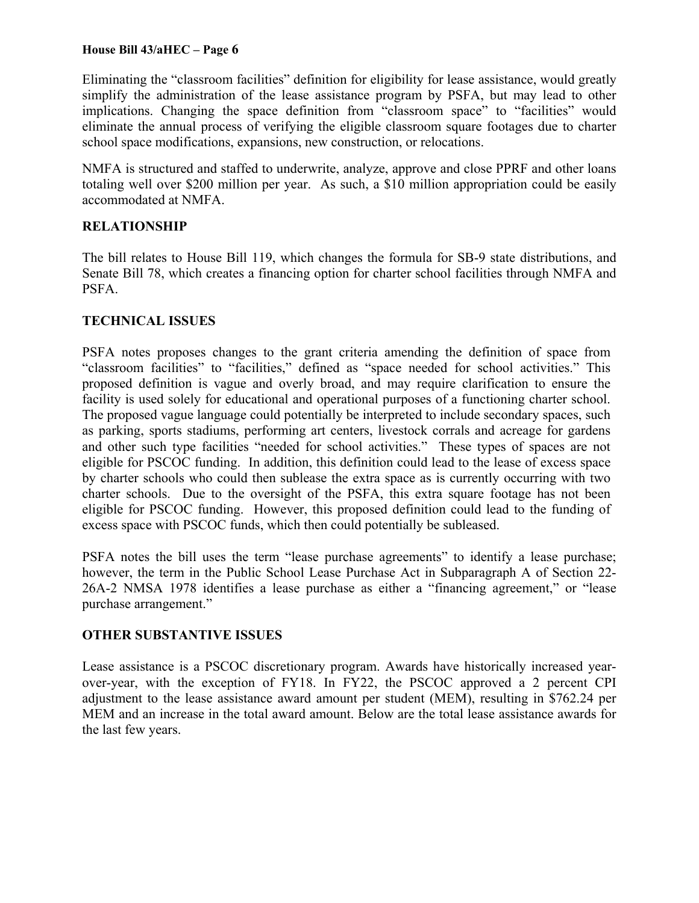Eliminating the "classroom facilities" definition for eligibility for lease assistance, would greatly simplify the administration of the lease assistance program by PSFA, but may lead to other implications. Changing the space definition from "classroom space" to "facilities" would eliminate the annual process of verifying the eligible classroom square footages due to charter school space modifications, expansions, new construction, or relocations.

NMFA is structured and staffed to underwrite, analyze, approve and close PPRF and other loans totaling well over \$200 million per year. As such, a \$10 million appropriation could be easily accommodated at NMFA.

# **RELATIONSHIP**

The bill relates to House Bill 119, which changes the formula for SB-9 state distributions, and Senate Bill 78, which creates a financing option for charter school facilities through NMFA and PSFA.

# **TECHNICAL ISSUES**

PSFA notes proposes changes to the grant criteria amending the definition of space from "classroom facilities" to "facilities," defined as "space needed for school activities." This proposed definition is vague and overly broad, and may require clarification to ensure the facility is used solely for educational and operational purposes of a functioning charter school. The proposed vague language could potentially be interpreted to include secondary spaces, such as parking, sports stadiums, performing art centers, livestock corrals and acreage for gardens and other such type facilities "needed for school activities." These types of spaces are not eligible for PSCOC funding. In addition, this definition could lead to the lease of excess space by charter schools who could then sublease the extra space as is currently occurring with two charter schools. Due to the oversight of the PSFA, this extra square footage has not been eligible for PSCOC funding. However, this proposed definition could lead to the funding of excess space with PSCOC funds, which then could potentially be subleased.

PSFA notes the bill uses the term "lease purchase agreements" to identify a lease purchase; however, the term in the Public School Lease Purchase Act in Subparagraph A of Section 22- 26A-2 NMSA 1978 identifies a lease purchase as either a "financing agreement," or "lease purchase arrangement."

# **OTHER SUBSTANTIVE ISSUES**

Lease assistance is a PSCOC discretionary program. Awards have historically increased yearover-year, with the exception of FY18. In FY22, the PSCOC approved a 2 percent CPI adjustment to the lease assistance award amount per student (MEM), resulting in \$762.24 per MEM and an increase in the total award amount. Below are the total lease assistance awards for the last few years.